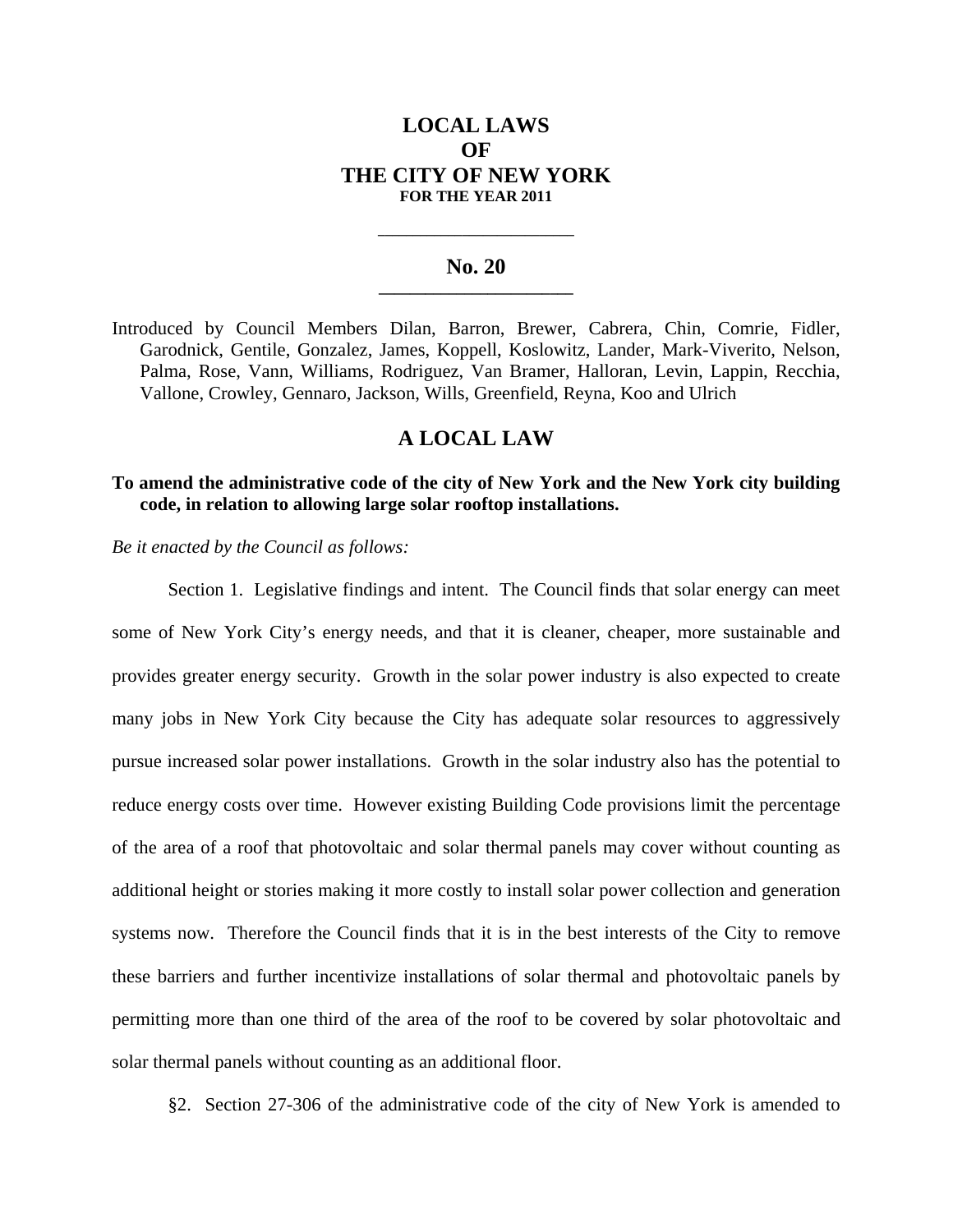# **LOCAL LAWS OF THE CITY OF NEW YORK FOR THE YEAR 2011**

#### No. 20

**\_\_\_\_\_\_\_\_\_\_\_\_\_\_\_\_\_\_\_\_\_\_\_\_\_\_\_\_** 

Introduced by Council Members Dilan, Barron, Brewer, Cabrera, Chin, Comrie, Fidler, Garodnick, Gentile, Gonzalez, James, Koppell, Koslowitz, Lander, Mark-Viverito, Nelson, Palma, Rose, Vann, Williams, Rodriguez, Van Bramer, Halloran, Levin, Lappin, Recchia, Vallone, Crowley, Gennaro, Jackson, Wills, Greenfield, Reyna, Koo and Ulrich

# **A LOCAL LAW**

### **To amend the administrative code of the city of New York and the New York city building code, in relation to allowing large solar rooftop installations.**

*Be it enacted by the Council as follows:* 

Section 1. Legislative findings and intent. The Council finds that solar energy can meet some of New York City's energy needs, and that it is cleaner, cheaper, more sustainable and provides greater energy security. Growth in the solar power industry is also expected to create many jobs in New York City because the City has adequate solar resources to aggressively pursue increased solar power installations. Growth in the solar industry also has the potential to reduce energy costs over time. However existing Building Code provisions limit the percentage of the area of a roof that photovoltaic and solar thermal panels may cover without counting as additional height or stories making it more costly to install solar power collection and generation systems now. Therefore the Council finds that it is in the best interests of the City to remove these barriers and further incentivize installations of solar thermal and photovoltaic panels by permitting more than one third of the area of the roof to be covered by solar photovoltaic and solar thermal panels without counting as an additional floor.

§2. Section 27-306 of the administrative code of the city of New York is amended to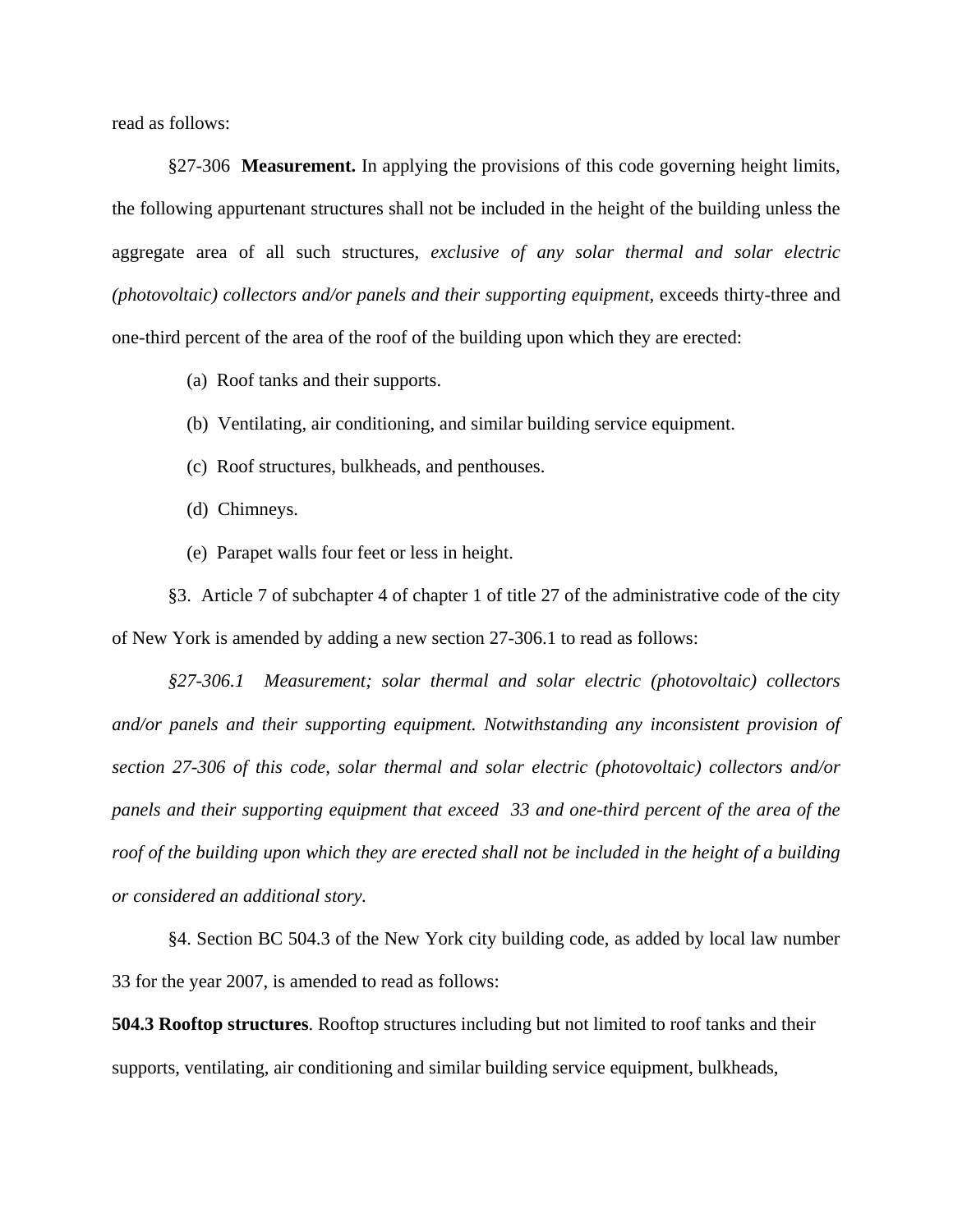read as follows:

§27-306 **Measurement.** In applying the provisions of this code governing height limits, the following appurtenant structures shall not be included in the height of the building unless the aggregate area of all such structures*, exclusive of any solar thermal and solar electric (photovoltaic) collectors and/or panels and their supporting equipment,* exceeds thirty-three and one-third percent of the area of the roof of the building upon which they are erected:

(a) Roof tanks and their supports.

- (b) Ventilating, air conditioning, and similar building service equipment.
- (c) Roof structures, bulkheads, and penthouses.
- (d) Chimneys.
- (e) Parapet walls four feet or less in height.

§3. Article 7 of subchapter 4 of chapter 1 of title 27 of the administrative code of the city of New York is amended by adding a new section 27-306.1 to read as follows:

*§27-306.1 Measurement; solar thermal and solar electric (photovoltaic) collectors and/or panels and their supporting equipment. Notwithstanding any inconsistent provision of section 27-306 of this code, solar thermal and solar electric (photovoltaic) collectors and/or panels and their supporting equipment that exceed 33 and one-third percent of the area of the roof of the building upon which they are erected shall not be included in the height of a building or considered an additional story.* 

§4. Section BC 504.3 of the New York city building code, as added by local law number 33 for the year 2007, is amended to read as follows:

**504.3 Rooftop structures**. Rooftop structures including but not limited to roof tanks and their supports, ventilating, air conditioning and similar building service equipment, bulkheads,